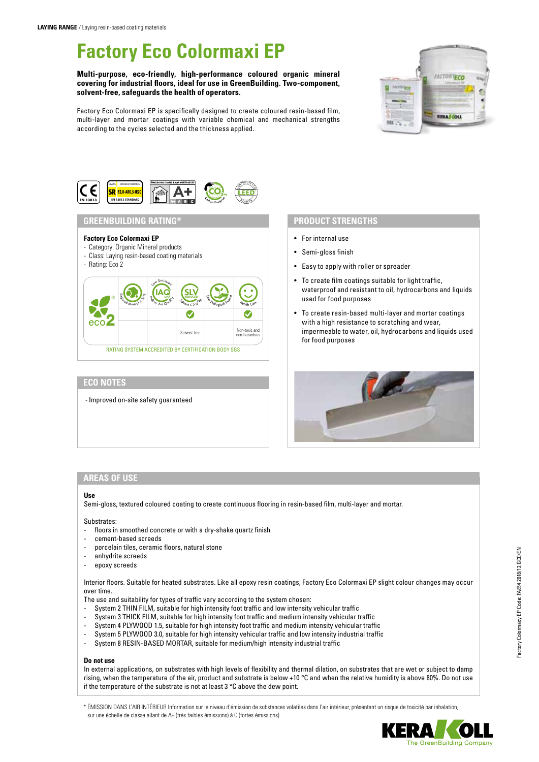# **Factory Eco Colormaxi EP**

### **Multi-purpose, eco-friendly, high-performance coloured organic mineral covering for industrial floors, ideal for use in GreenBuilding. Two-component, solvent-free, safeguards the health of operators.**

Factory Eco Colormaxi EP is specifically designed to create coloured resin-based film, multi-layer and mortar coatings with variable chemical and mechanical strengths according to the cycles selected and the thickness applied.





RATING SYSTEM ACCREDITED BY CERTIFICATION BODY SGS

# **ECO NOTES**

- Improved on-site safety guaranteed

- For internal use
- Semi-gloss finish
- Easy to apply with roller or spreader
- To create film coatings suitable for light traffic, waterproof and resistant to oil, hydrocarbons and liquids used for food purposes
- To create resin-based multi-layer and mortar coatings with a high resistance to scratching and wear, impermeable to water, oil, hydrocarbons and liquids used for food purposes



# **AREAS OF USE**

### **Use**

Semi-gloss, textured coloured coating to create continuous flooring in resin-based film, multi-layer and mortar.

#### Substrates:

- floors in smoothed concrete or with a dry-shake quartz finish
- cement-based screeds
- porcelain tiles, ceramic floors, natural stone
- anhydrite screeds
- epoxy screeds

Interior floors. Suitable for heated substrates. Like all epoxy resin coatings, Factory Eco Colormaxi EP slight colour changes may occur over time.

- The use and suitability for types of traffic vary according to the system chosen:
- System 2 THIN FILM, suitable for high intensity foot traffic and low intensity vehicular traffic
- System 3 THICK FILM, suitable for high intensity foot traffic and medium intensity vehicular traffic
- System 4 PLYWOOD 1.5, suitable for high intensity foot traffic and medium intensity vehicular traffic
- System 5 PLYWOOD 3.0, suitable for high intensity vehicular traffic and low intensity industrial traffic
- System 8 RESIN-BASED MORTAR, suitable for medium/high intensity industrial traffic

#### **Do not use**

In external applications, on substrates with high levels of flexibility and thermal dilation, on substrates that are wet or subject to damp rising, when the temperature of the air, product and substrate is below +10 °C and when the relative humidity is above 80%. Do not use if the temperature of the substrate is not at least 3 °C above the dew point.

\* ÉMISSION DANS L'AIR INTÉRIEUR Information sur le niveau d'émission de substances volatiles dans l'air intérieur, présentant un risque de toxicité par inhalation, sur une échelle de classe allant de A+ (très faibles émissions) à C (fortes émissions).



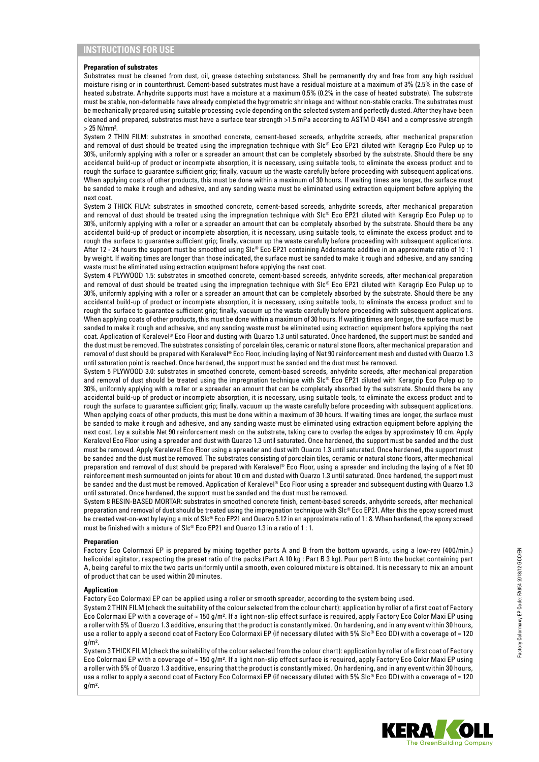#### **Preparation of substrates**

Substrates must be cleaned from dust, oil, grease detaching substances. Shall be permanently dry and free from any high residual moisture rising or in counterthrust. Cement-based substrates must have a residual moisture at a maximum of 3% (2.5% in the case of heated substrate. Anhydrite supports must have a moisture at a maximum 0.5% (0.2% in the case of heated substrate). The substrate must be stable, non-deformable have already completed the hygrometric shrinkage and without non-stable cracks. The substrates must be mechanically prepared using suitable processing cycle depending on the selected system and perfectly dusted. After they have been cleaned and prepared, substrates must have a surface tear strength >1.5 mPa according to ASTM D 4541 and a compressive strength > 25 N/mm².

System 2 THIN FILM: substrates in smoothed concrete, cement-based screeds, anhydrite screeds, after mechanical preparation and removal of dust should be treated using the impregnation technique with Slc® Eco EP21 diluted with Keragrip Eco Pulep up to 30%, uniformly applying with a roller or a spreader an amount that can be completely absorbed by the substrate. Should there be any accidental build-up of product or incomplete absorption, it is necessary, using suitable tools, to eliminate the excess product and to rough the surface to guarantee sufficient grip; finally, vacuum up the waste carefully before proceeding with subsequent applications. When applying coats of other products, this must be done within a maximum of 30 hours. If waiting times are longer, the surface must be sanded to make it rough and adhesive, and any sanding waste must be eliminated using extraction equipment before applying the next coat.

System 3 THICK FILM: substrates in smoothed concrete, cement-based screeds, anhydrite screeds, after mechanical preparation and removal of dust should be treated using the impregnation technique with Slc® Eco EP21 diluted with Keragrip Eco Pulep up to 30%, uniformly applying with a roller or a spreader an amount that can be completely absorbed by the substrate. Should there be any accidental build-up of product or incomplete absorption, it is necessary, using suitable tools, to eliminate the excess product and to rough the surface to guarantee sufficient grip; finally, vacuum up the waste carefully before proceeding with subsequent applications. After 12 - 24 hours the support must be smoothed using Slc® Eco EP21 containing Addensante additive in an approximate ratio of 10 : 1 by weight. If waiting times are longer than those indicated, the surface must be sanded to make it rough and adhesive, and any sanding waste must be eliminated using extraction equipment before applying the next coat.

System 4 PLYWOOD 1.5: substrates in smoothed concrete, cement-based screeds, anhydrite screeds, after mechanical preparation and removal of dust should be treated using the impregnation technique with Slc® Eco EP21 diluted with Keragrip Eco Pulep up to 30%, uniformly applying with a roller or a spreader an amount that can be completely absorbed by the substrate. Should there be any accidental build-up of product or incomplete absorption, it is necessary, using suitable tools, to eliminate the excess product and to rough the surface to guarantee sufficient grip; finally, vacuum up the waste carefully before proceeding with subsequent applications. When applying coats of other products, this must be done within a maximum of 30 hours. If waiting times are longer, the surface must be sanded to make it rough and adhesive, and any sanding waste must be eliminated using extraction equipment before applying the next coat. Application of Keralevel® Eco Floor and dusting with Quarzo 1.3 until saturated. Once hardened, the support must be sanded and the dust must be removed. The substrates consisting of porcelain tiles, ceramic or natural stone floors, after mechanical preparation and removal of dust should be prepared with Keralevel® Eco Floor, including laying of Net 90 reinforcement mesh and dusted with Quarzo 1.3 until saturation point is reached. Once hardened, the support must be sanded and the dust must be removed.

System 5 PLYWOOD 3.0: substrates in smoothed concrete, cement-based screeds, anhydrite screeds, after mechanical preparation and removal of dust should be treated using the impregnation technique with Slc® Eco EP21 diluted with Keragrip Eco Pulep up to 30%, uniformly applying with a roller or a spreader an amount that can be completely absorbed by the substrate. Should there be any accidental build-up of product or incomplete absorption, it is necessary, using suitable tools, to eliminate the excess product and to rough the surface to guarantee sufficient grip; finally, vacuum up the waste carefully before proceeding with subsequent applications. When applying coats of other products, this must be done within a maximum of 30 hours. If waiting times are longer, the surface must be sanded to make it rough and adhesive, and any sanding waste must be eliminated using extraction equipment before applying the next coat. Lay a suitable Net 90 reinforcement mesh on the substrate, taking care to overlap the edges by approximately 10 cm. Apply Keralevel Eco Floor using a spreader and dust with Quarzo 1.3 until saturated. Once hardened, the support must be sanded and the dust must be removed. Apply Keralevel Eco Floor using a spreader and dust with Quarzo 1.3 until saturated. Once hardened, the support must be sanded and the dust must be removed. The substrates consisting of porcelain tiles, ceramic or natural stone floors, after mechanical preparation and removal of dust should be prepared with Keralevel® Eco Floor, using a spreader and including the laying of a Net 90 reinforcement mesh surmounted on joints for about 10 cm and dusted with Quarzo 1.3 until saturated. Once hardened, the support must be sanded and the dust must be removed. Application of Keralevel® Eco Floor using a spreader and subsequent dusting with Quarzo 1.3 until saturated. Once hardened, the support must be sanded and the dust must be removed.

System 8 RESIN-BASED MORTAR: substrates in smoothed concrete finish, cement-based screeds, anhydrite screeds, after mechanical preparation and removal of dust should be treated using the impregnation technique with Slc® Eco EP21. After this the epoxy screed must be created wet-on-wet by laying a mix of Slc® Eco EP21 and Quarzo 5.12 in an approximate ratio of 1 : 8. When hardened, the epoxy screed must be finished with a mixture of Slc® Eco EP21 and Quarzo 1.3 in a ratio of 1 : 1.

#### **Preparation**

Factory Eco Colormaxi EP is prepared by mixing together parts A and B from the bottom upwards, using a low-rev (400/min.) helicoidal agitator, respecting the preset ratio of the packs (Part A 10 kg : Part B 3 kg). Pour part B into the bucket containing part A, being careful to mix the two parts uniformly until a smooth, even coloured mixture is obtained. It is necessary to mix an amount of product that can be used within 20 minutes.

#### **Application**

Factory Eco Colormaxi EP can be applied using a roller or smooth spreader, according to the system being used.

System 2 THIN FILM (check the suitability of the colour selected from the colour chart): application by roller of a first coat of Factory Eco Colormaxi EP with a coverage of ≈ 150 g/m². If a light non-slip effect surface is required, apply Factory Eco Color Maxi EP using a roller with 5% of Quarzo 1.3 additive, ensuring that the product is constantly mixed. On hardening, and in any event within 30 hours, use a roller to apply a second coat of Factory Eco Colormaxi EP (if necessary diluted with 5% Slc® Eco DD) with a coverage of ≈ 120  $n/m<sup>2</sup>$ .

System 3 THICK FILM (check the suitability of the colour selected from the colour chart): application by roller of a first coat of Factory Eco Colormaxi EP with a coverage of ≈ 150 g/m². If a light non-slip effect surface is required, apply Factory Eco Color Maxi EP using a roller with 5% of Quarzo 1.3 additive, ensuring that the product is constantly mixed. On hardening, and in any event within 30 hours, use a roller to apply a second coat of Factory Eco Colormaxi EP (if necessary diluted with 5% Slc® Eco DD) with a coverage of ≈ 120  $g/m<sup>2</sup>$ .

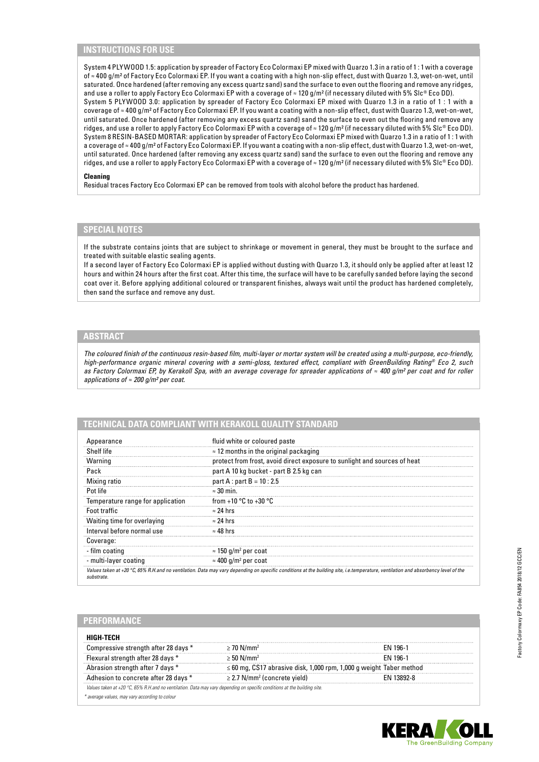# **INSTRUCTIONS FOR USE**

System 4 PLYWOOD 1.5: application by spreader of Factory Eco Colormaxi EP mixed with Quarzo 1.3 in a ratio of 1 : 1 with a coverage of ≈ 400 g/m² of Factory Eco Colormaxi EP. If you want a coating with a high non-slip effect, dust with Quarzo 1.3, wet-on-wet, until saturated. Once hardened (after removing any excess quartz sand) sand the surface to even out the flooring and remove any ridges, and use a roller to apply Factory Eco Colormaxi EP with a coverage of ≈ 120 g/m² (if necessary diluted with 5% Slc® Eco DD). System 5 PLYWOOD 3.0: application by spreader of Factory Eco Colormaxi EP mixed with Quarzo 1.3 in a ratio of 1 : 1 with a coverage of ≈ 400 g/m² of Factory Eco Colormaxi EP. If you want a coating with a non-slip effect, dust with Quarzo 1.3, wet-on-wet, until saturated. Once hardened (after removing any excess quartz sand) sand the surface to even out the flooring and remove any ridges, and use a roller to apply Factory Eco Colormaxi EP with a coverage of ≈ 120 g/m² (if necessary diluted with 5% Slc® Eco DD). System 8 RESIN-BASED MORTAR: application by spreader of Factory Eco Colormaxi EP mixed with Quarzo 1.3 in a ratio of 1 : 1 with a coverage of ≈ 400 g/m² of Factory Eco Colormaxi EP. If you want a coating with a non-slip effect, dust with Quarzo 1.3, wet-on-wet, until saturated. Once hardened (after removing any excess quartz sand) sand the surface to even out the flooring and remove any ridges, and use a roller to apply Factory Eco Colormaxi EP with a coverage of ≈ 120 g/m² (if necessary diluted with 5% Slc® Eco DD).

#### **Cleaning**

Residual traces Factory Eco Colormaxi EP can be removed from tools with alcohol before the product has hardened.

# **SPECIAL NOTES**

If the substrate contains joints that are subject to shrinkage or movement in general, they must be brought to the surface and treated with suitable elastic sealing agents.

If a second layer of Factory Eco Colormaxi EP is applied without dusting with Quarzo 1.3, it should only be applied after at least 12 hours and within 24 hours after the first coat. After this time, the surface will have to be carefully sanded before laying the second coat over it. Before applying additional coloured or transparent finishes, always wait until the product has hardened completely, then sand the surface and remove any dust.

# **ABSTRACT**

*The coloured finish of the continuous resin-based film, multi-layer or mortar system will be created using a multi-purpose, eco-friendly, high-performance organic mineral covering with a semi-gloss, textured effect, compliant with GreenBuilding Rating® Eco 2, such as Factory Colormaxi EP, by Kerakoll Spa, with an average coverage for spreader applications of ≈ 400 g/m² per coat and for roller applications of ≈ 200 g/m² per coat.*

# **TECHNICAL DATA COMPLIANT WITH KERAKOLL QUALITY STANDARD**

| Appearance                        | fluid white or coloured paste                                                                                                                                                     |  |  |
|-----------------------------------|-----------------------------------------------------------------------------------------------------------------------------------------------------------------------------------|--|--|
| Shelf life                        | $\approx$ 12 months in the original packaging                                                                                                                                     |  |  |
| Warning                           | protect from frost, avoid direct exposure to sunlight and sources of heat                                                                                                         |  |  |
| Pack                              | part A 10 kg bucket - part B 2.5 kg can                                                                                                                                           |  |  |
| Mixing ratio                      | $part A : part B = 10 : 2.5$                                                                                                                                                      |  |  |
| Pot life                          | $\approx 30$ min.                                                                                                                                                                 |  |  |
| Temperature range for application | from +10 $^{\circ}$ C to +30 $^{\circ}$ C                                                                                                                                         |  |  |
| Foot traffic                      | $\approx$ 24 hrs                                                                                                                                                                  |  |  |
| Waiting time for overlaying       | $\approx$ 24 hrs                                                                                                                                                                  |  |  |
| Interval before normal use        | $\approx 48$ hrs                                                                                                                                                                  |  |  |
| Coverage:                         |                                                                                                                                                                                   |  |  |
| - film coating                    | $\approx$ 150 g/m <sup>2</sup> per coat                                                                                                                                           |  |  |
| - multi-layer coating             | $\approx$ 400 g/m <sup>2</sup> per coat                                                                                                                                           |  |  |
| substrate                         | Values taken at +20 °C, 65% R.H.and no ventilation. Data may vary depending on specific conditions at the building site, i.e.temperature, ventilation and absorbency level of the |  |  |

#### **PERFORMANCE**

| нісн тесн                                                                                                                          |                                                                          |                 |  |
|------------------------------------------------------------------------------------------------------------------------------------|--------------------------------------------------------------------------|-----------------|--|
| Compressive strength after 28 days *                                                                                               | $\geq$ 70 N/mm <sup>2</sup>                                              | FN 196-1        |  |
| Flexural strength after 28 days *                                                                                                  | $\geq$ 50 N/mm <sup>2</sup>                                              | <b>FN 196-1</b> |  |
| Abrasion strength after 7 days *                                                                                                   | $\leq$ 60 mg, CS17 abrasive disk, 1,000 rpm, 1,000 g weight Taber method |                 |  |
| Adhesion to concrete after 28 days *                                                                                               | $\geq$ 2.7 N/mm <sup>2</sup> (concrete yield)                            | FN 13892-8      |  |
| Values taken at +20 $^{\circ}$ C, 65% R.H.and no ventilation. Data may vary depending on specific conditions at the building site. |                                                                          |                 |  |
| * average values, may vary according to colour                                                                                     |                                                                          |                 |  |